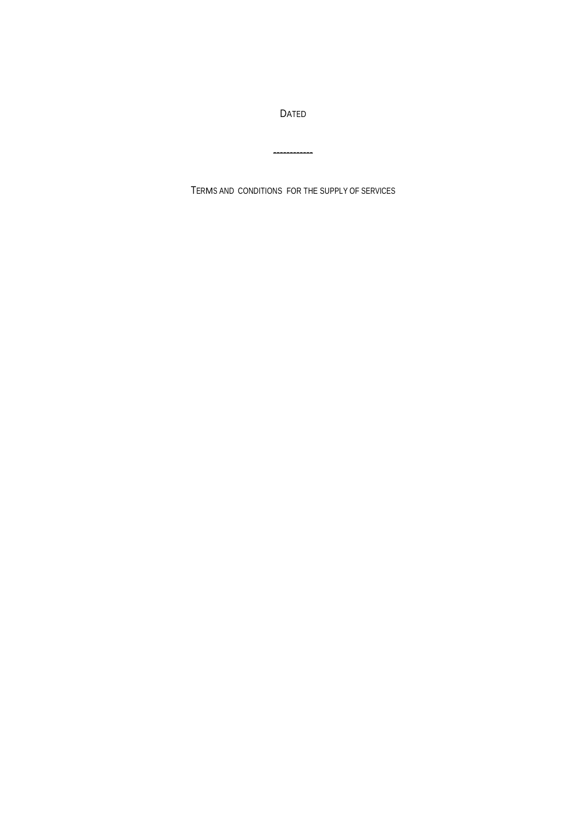DATED

------------

TERMS AND CONDITIONS FOR THE SUPPLY OF SERVICES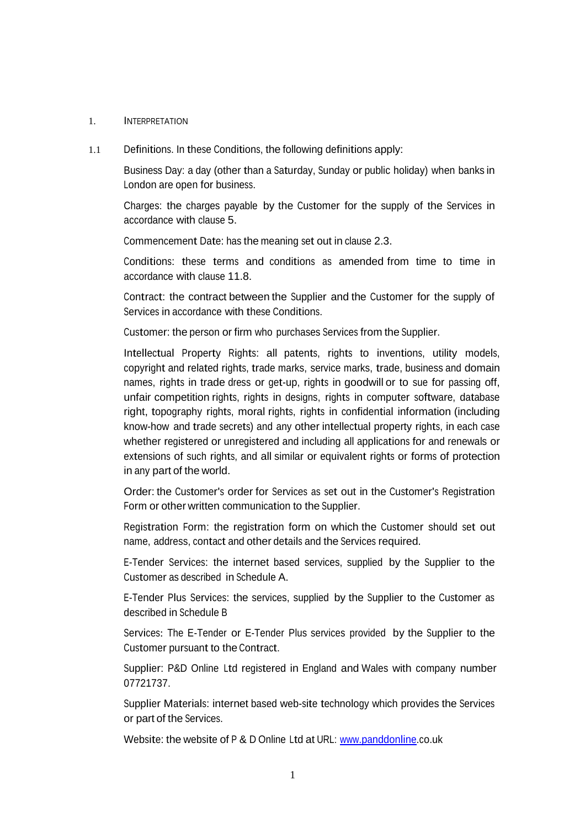#### 1. INTERPRETATION

1.1 Definitions. In these Conditions, the following definitions apply:

Business Day: a day (other than a Saturday, Sunday or public holiday) when banks in London are open for business.

Charges: the charges payable by the Customer for the supply of the Services in accordance with clause 5.

Commencement Date: has the meaning set out in clause 2.3.

Conditions: these terms and conditions as amended from time to time in accordance with clause 11.8.

Contract: the contract between the Supplier and the Customer for the supply of Services in accordance with these Conditions.

Customer: the person or firm who purchases Services from the Supplier.

Intellectual Property Rights: all patents, rights to inventions, utility models, copyright and related rights, trade marks, service marks, trade, business and domain names, rights in trade dress or get-up, rights in goodwill or to sue for passing off, unfair competition rights, rights in designs, rights in computer software, database right, topography rights, moral rights, rights in confidential information (including know-how and trade secrets) and any other intellectual property rights, in each case whether registered or unregistered and including all applications for and renewals or extensions of such rights, and all similar or equivalent rights or forms of protection in any part of the world.

Order: the Customer's order for Services as set out in the Customer's Registration Form or other written communication to the Supplier.

Registration Form: the registration form on which the Customer should set out name, address, contact and other details and the Services required.

E-Tender Services: the internet based services, supplied by the Supplier to the Customer as described in Schedule A.

E-Tender Plus Services: the services, supplied by the Supplier to the Customer as described in Schedule B

Services: The E-Tender or E-Tender Plus services provided by the Supplier to the Customer pursuant to the Contract.

Supplier: P&D Online Ltd registered in England and Wales with company number 07721737.

Supplier Materials: internet based web-site technology which provides the Services or part of the Services.

Website: the website of P & D Online Ltd at URL: [www.panddonline.co.uk](http://www.panddonline.co.uk/)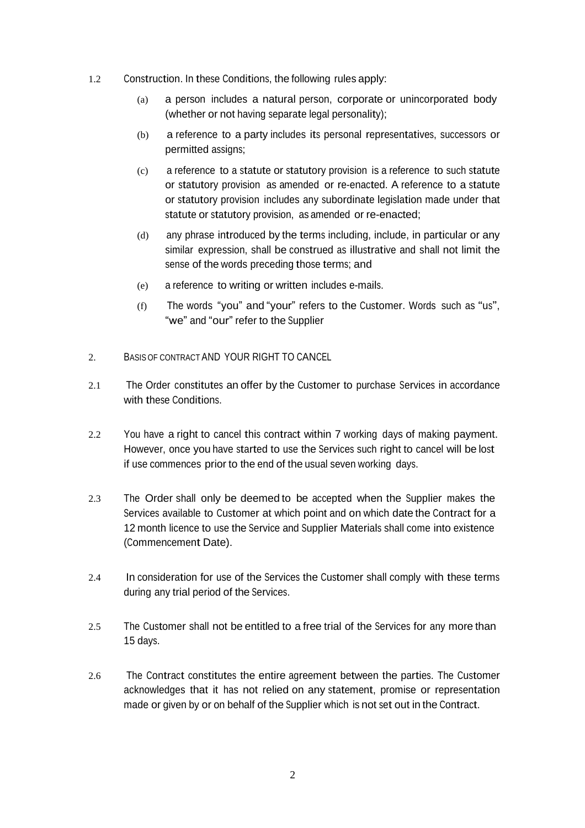- 1.2 Construction. In these Conditions, the following rules apply:
	- (a) a person includes a natural person, corporate or unincorporated body (whether or not having separate legal personality);
	- (b) a reference to a party includes its personal representatives, successors or permitted assigns;
	- (c) a reference to a statute or statutory provision is a reference to such statute or statutory provision as amended or re-enacted. A reference to a statute or statutory provision includes any subordinate legislation made under that statute or statutory provision, as amended or re-enacted;
	- (d) any phrase introduced by the terms including, include, in particular or any similar expression, shall be construed as illustrative and shall not limit the sense of the words preceding those terms; and
	- (e) a reference to writing or written includes e-mails.
	- (f) The words "you" and "your" refers to the Customer. Words such as "us", "we" and "our" refer to the Supplier
- 2. BASIS OF CONTRACT AND YOUR RIGHT TO CANCEL
- 2.1 The Order constitutes an offer by the Customer to purchase Services in accordance with these Conditions.
- 2.2 You have a right to cancel this contract within 7 working days of making payment. However, once you have started to use the Services such right to cancel will be lost if use commences prior to the end of the usual seven working days.
- 2.3 The Order shall only be deemed to be accepted when the Supplier makes the Services available to Customer at which point and on which date the Contract for a 12 month licence to use the Service and Supplier Materials shall come into existence (Commencement Date).
- 2.4 In consideration for use of the Services the Customer shall comply with these terms during any trial period of the Services.
- 2.5 The Customer shall not be entitled to a free trial of the Services for any more than 15 days.
- 2.6 The Contract constitutes the entire agreement between the parties. The Customer acknowledges that it has not relied on any statement, promise or representation made or given by or on behalf of the Supplier which is not set out in the Contract.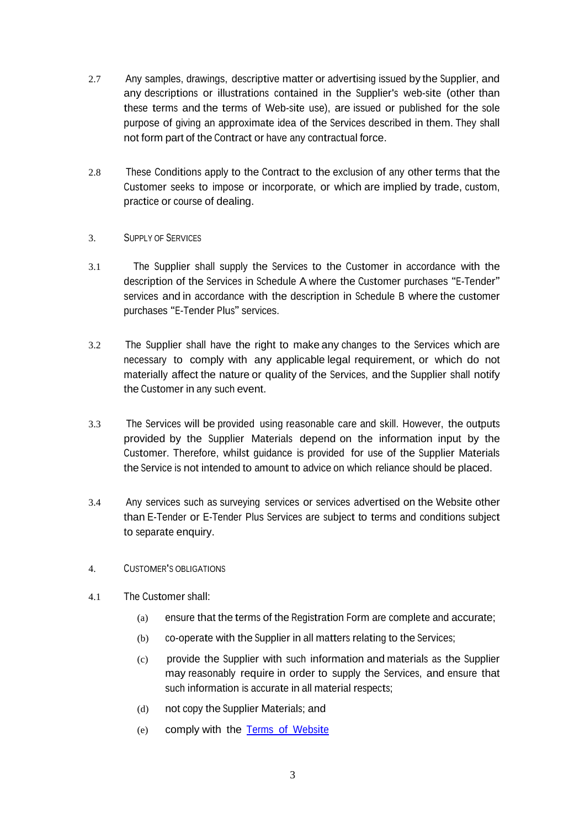- 2.7 Any samples, drawings, descriptive matter or advertising issued by the Supplier, and any descriptions or illustrations contained in the Supplier's web-site (other than these terms and the terms of Web-site use), are issued or published for the sole purpose of giving an approximate idea of the Services described in them. They shall not form part of the Contract or have any contractual force.
- 2.8 These Conditions apply to the Contract to the exclusion of any other terms that the Customer seeks to impose or incorporate, or which are implied by trade, custom, practice or course of dealing.

## 3. SUPPLY OF SERVICES

- 3.1 The Supplier shall supply the Services to the Customer in accordance with the description of the Services in Schedule A where the Customer purchases "E-Tender" services and in accordance with the description in Schedule <sup>B</sup> where the customer purchases "E-Tender Plus" services.
- 3.2 The Supplier shall have the right to make any changes to the Services which are necessary to comply with any applicable legal requirement, or which do not materially affect the nature or quality of the Services, and the Supplier shall notify the Customer in any such event.
- 3.3 The Services will be provided using reasonable care and skill. However, the outputs provided by the Supplier Materials depend on the information input by the Customer. Therefore, whilst guidance is provided for use of the Supplier Materials the Service is not intended to amount to advice on which reliance should be placed.
- 3.4 Any services such as surveying services or services advertised on the Website other than E-Tender or E-Tender Plus Services are subject to terms and conditions subject to separate enquiry.
- 4. CUSTOMER'<sup>S</sup> OBLIGATIONS
- 4.1 The Customer shall:
	- (a) ensure that the terms of the Registration Form are complete and accurate;
	- (b) co-operate with the Supplier in all matters relating to the Services;
	- (c) provide the Supplier with such information and materials as the Supplier may reasonably require in order to supply the Services, and ensure that such information is accurate in all material respects;
	- (d) not copy the Supplier Materials; and
	- (e) comply with the Terms of [Website](http://www.panddonline.co.uk/assets/docs/Terms-and-Conditions.pdf)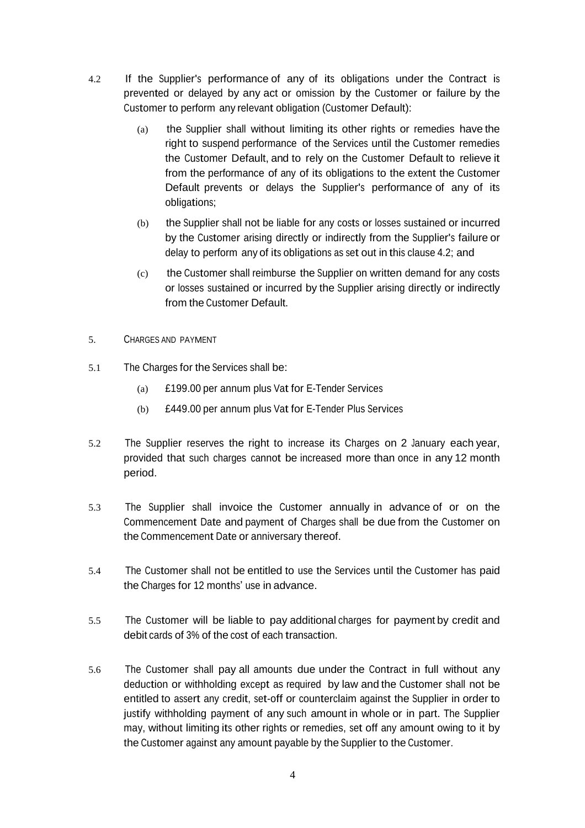- 4.2 If the Supplier's performance of any of its obligations under the Contract is prevented or delayed by any act or omission by the Customer or failure by the Customer to perform any relevant obligation (Customer Default):
	- (a) the Supplier shall without limiting its other rights or remedies have the right to suspend performance of the Services until the Customer remedies the Customer Default, and to rely on the Customer Default to relieve it from the performance of any of its obligations to the extent the Customer Default prevents or delays the Supplier's performance of any of its obligations;
	- (b) the Supplier shall not be liable for any costs or losses sustained or incurred by the Customer arising directly or indirectly from the Supplier's failure or delay to perform any of its obligations as set out in this clause 4.2; and
	- (c) the Customer shall reimburse the Supplier on written demand for any costs or losses sustained or incurred by the Supplier arising directly or indirectly from the Customer Default.
- 5. CHARGES AND PAYMENT
- 5.1 The Charges for the Services shall be:
	- (a) £199.00 per annum plus Vat for E-Tender Services
	- (b) £449.00 per annum plus Vat for E-Tender Plus Services
- 5.2 The Supplier reserves the right to increase its Charges on 2 January each year, provided that such charges cannot be increased more than once in any 12 month period.
- 5.3 The Supplier shall invoice the Customer annually in advance of or on the Commencement Date and payment of Charges shall be due from the Customer on the Commencement Date or anniversary thereof.
- 5.4 The Customer shall not be entitled to use the Services until the Customer has paid the Charges for 12 months' use in advance.
- 5.5 The Customer will be liable to pay additional charges for payment by credit and debit cards of 3% of the cost of each transaction.
- 5.6 The Customer shall pay all amounts due under the Contract in full without any deduction or withholding except as required by law and the Customer shall not be entitled to assert any credit, set-off or counterclaim against the Supplier in order to justify withholding payment of any such amount in whole or in part. The Supplier may, without limiting its other rights or remedies, set off any amount owing to it by the Customer against any amount payable by the Supplier to the Customer.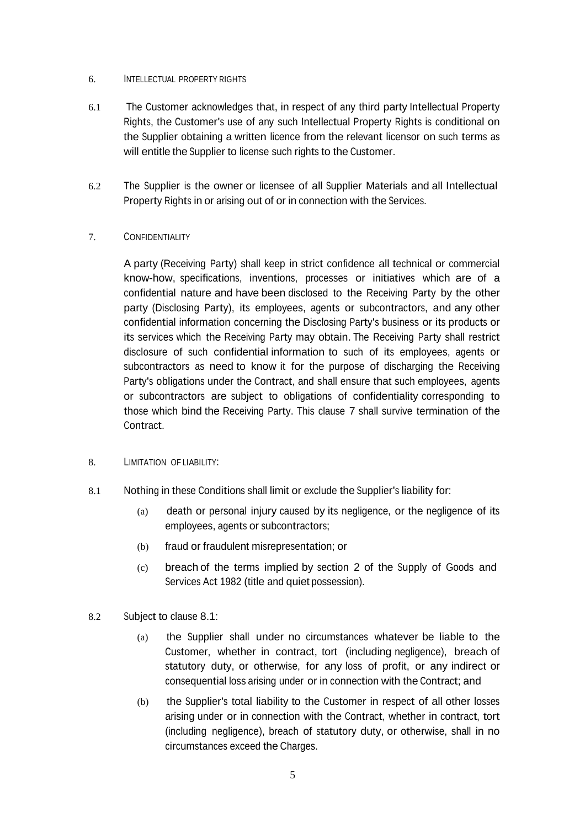### 6. INTELLECTUAL PROPERTY RIGHTS

- 6.1 The Customer acknowledges that, in respect of any third party Intellectual Property Rights, the Customer's use of any such Intellectual Property Rights is conditional on the Supplier obtaining a written licence from the relevant licensor on such terms as will entitle the Supplier to license such rights to the Customer.
- 6.2 The Supplier is the owner or licensee of all Supplier Materials and all Intellectual Property Rights in or arising out of or in connection with the Services.

## 7. CONFIDENTIALITY

A party (Receiving Party) shall keep in strict confidence all technical or commercial know-how, specifications, inventions, processes or initiatives which are of a confidential nature and have been disclosed to the Receiving Party by the other party (Disclosing Party), its employees, agents or subcontractors, and any other confidential information concerning the Disclosing Party's business or its products or its services which the Receiving Party may obtain. The Receiving Party shall restrict disclosure of such confidential information to such of its employees, agents or subcontractors as need to know it for the purpose of discharging the Receiving Party's obligations under the Contract, and shall ensure that such employees, agents or subcontractors are subject to obligations of confidentiality corresponding to those which bind the Receiving Party. This clause 7 shall survive termination of the Contract.

#### 8. LIMITATION OF LIABILITY:

- 8.1 Nothing in these Conditions shall limit or exclude the Supplier's liability for:
	- (a) death or personal injury caused by its negligence, or the negligence of its employees, agents or subcontractors;
	- (b) fraud or fraudulent misrepresentation; or
	- (c) breach of the terms implied by section 2 of the Supply of Goods and Services Act 1982 (title and quiet possession).
- 8.2 Subject to clause 8.1:
	- (a) the Supplier shall under no circumstances whatever be liable to the Customer, whether in contract, tort (including negligence), breach of statutory duty, or otherwise, for any loss of profit, or any indirect or consequential loss arising under or in connection with the Contract; and
	- (b) the Supplier's total liability to the Customer in respect of all other losses arising under or in connection with the Contract, whether in contract, tort (including negligence), breach of statutory duty, or otherwise, shall in no circumstances exceed the Charges.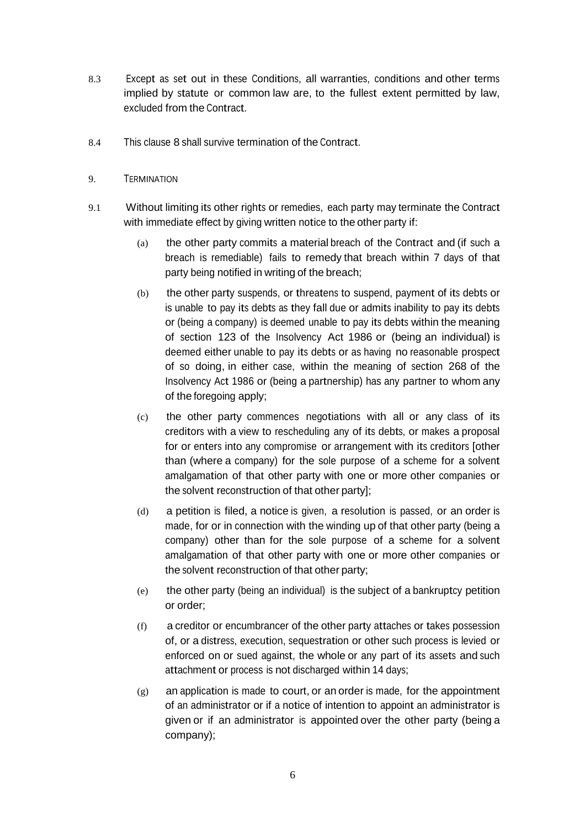- 8.3 Except as set out in these Conditions, all warranties, conditions and other terms implied by statute or common law are, to the fullest extent permitted by law, excluded from the Contract.
- 8.4 This clause 8 shall survive termination of the Contract.
- 9. TERMINATION
- 9.1 Without limiting its other rights or remedies, each party may terminate the Contract with immediate effect by giving written notice to the other party if:
	- (a) the other party commits a material breach of the Contract and (if such a breach is remediable) fails to remedy that breach within 7 days of that party being notified in writing of the breach;
	- (b) the other party suspends, or threatens to suspend, payment of its debts or is unable to pay its debts as they fall due or admits inability to pay its debts or (being a company) is deemed unable to pay its debts within the meaning of section 123 of the Insolvency Act 1986 or (being an individual) is deemed either unable to pay its debts or as having no reasonable prospect of so doing, in either case, within the meaning of section 268 of the Insolvency Act 1986 or (being a partnership) has any partner to whom any of the foregoing apply;
	- (c) the other party commences negotiations with all or any class of its creditors with a view to rescheduling any of its debts, or makes a proposal for or enters into any compromise or arrangement with its creditors [other than (where a company) for the sole purpose of a scheme for a solvent amalgamation of that other party with one or more other companies or the solvent reconstruction of that other party];
	- (d) a petition is filed, a notice is given, a resolution is passed, or an order is made, for or in connection with the winding up of that other party (being a company) other than for the sole purpose of a scheme for a solvent amalgamation of that other party with one or more other companies or the solvent reconstruction of that other party;
	- (e) the other party (being an individual) is the subject of a bankruptcy petition or order;
	- (f) a creditor or encumbrancer of the other party attaches or takes possession of, or a distress, execution, sequestration or other such process is levied or enforced on or sued against, the whole or any part of its assets and such attachment or process is not discharged within 14 days;
	- (g) an application is made to court, or an order is made, for the appointment of an administrator or if a notice of intention to appoint an administrator is given or if an administrator is appointed over the other party (being a company);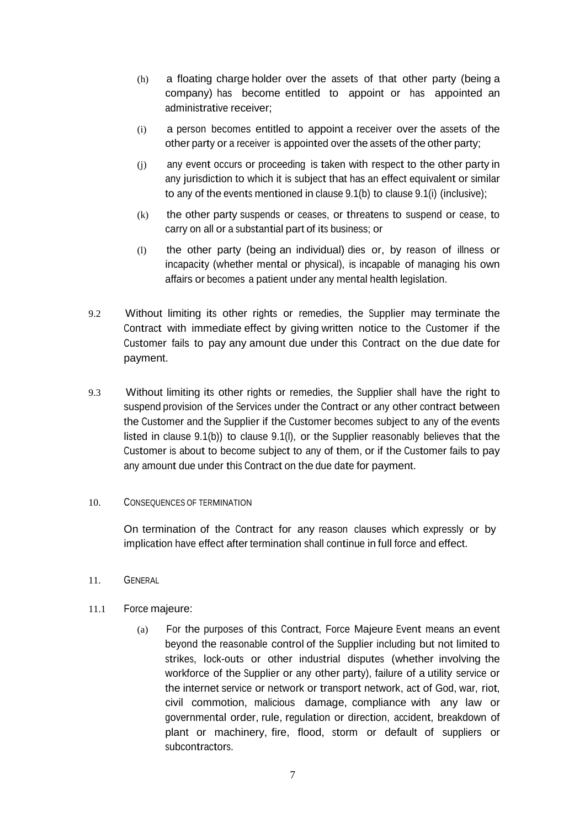- (h) a floating charge holder over the assets of that other party (being a company) has become entitled to appoint or has appointed an administrative receiver;
- (i) a person becomes entitled to appoint a receiver over the assets of the other party or a receiver is appointed over the assets of the other party;
- (j) any event occurs or proceeding is taken with respect to the other party in any jurisdiction to which it is subject that has an effect equivalent or similar to any of the events mentioned in clause 9.1(b) to clause 9.1(i) (inclusive);
- (k) the other party suspends or ceases, or threatens to suspend or cease, to carry on all or a substantial part of its business; or
- (l) the other party (being an individual) dies or, by reason of illness or incapacity (whether mental or physical), is incapable of managing his own affairs or becomes a patient under any mental health legislation.
- 9.2 Without limiting its other rights or remedies, the Supplier may terminate the Contract with immediate effect by giving written notice to the Customer if the Customer fails to pay any amount due under this Contract on the due date for payment.
- 9.3 Without limiting its other rights or remedies, the Supplier shall have the right to suspend provision of the Services under the Contract or any other contract between the Customer and the Supplier if the Customer becomes subject to any of the events listed in clause 9.1(b)) to clause 9.1(l), or the Supplier reasonably believes that the Customer is about to become subject to any of them, or if the Customer fails to pay any amount due under this Contract on the due date for payment.

#### 10. CONSEQUENCES OF TERMINATION

On termination of the Contract for any reason clauses which expressly or by implication have effect after termination shall continue in full force and effect.

11. GENERAL

## 11.1 Force majeure:

(a) For the purposes of this Contract, Force Majeure Event means an event beyond the reasonable control of the Supplier including but not limited to strikes, lock-outs or other industrial disputes (whether involving the workforce of the Supplier or any other party), failure of a utility service or the internet service or network or transport network, act of God, war, riot, civil commotion, malicious damage, compliance with any law or governmental order, rule, regulation or direction, accident, breakdown of plant or machinery, fire, flood, storm or default of suppliers or subcontractors.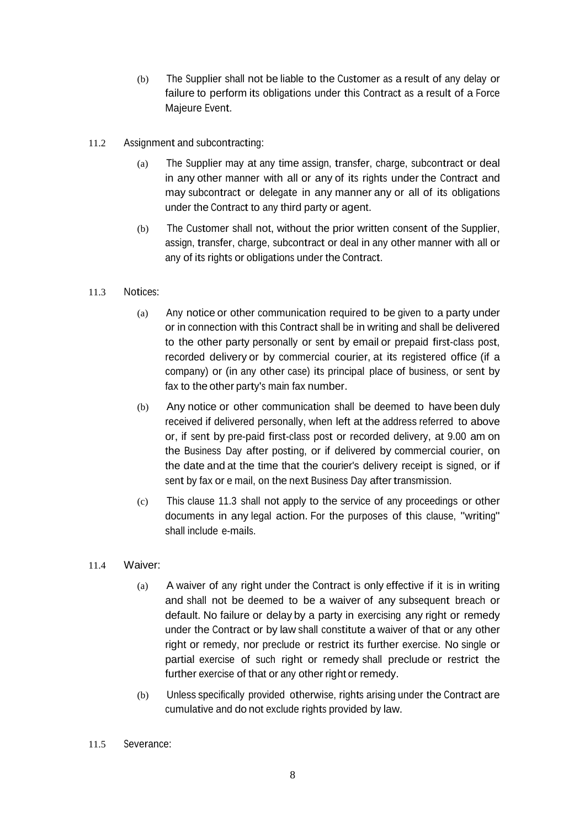- (b) The Supplier shall not be liable to the Customer as a result of any delay or failure to perform its obligations under this Contract as a result of a Force Majeure Event.
- 11.2 Assignment and subcontracting:
	- (a) The Supplier may at any time assign, transfer, charge, subcontract or deal in any other manner with all or any of its rights under the Contract and may subcontract or delegate in any manner any or all of its obligations under the Contract to any third party or agent.
	- (b) The Customer shall not, without the prior written consent of the Supplier, assign, transfer, charge, subcontract or deal in any other manner with all or any of its rights or obligations under the Contract.
- 11.3 Notices:
	- (a) Any notice or other communication required to be given to a party under or in connection with this Contract shall be in writing and shall be delivered to the other party personally or sent by email or prepaid first-class post, recorded delivery or by commercial courier, at its registered office (if a company) or (in any other case) its principal place of business, or sent by fax to the other party's main fax number.
	- (b) Any notice or other communication shall be deemed to have been duly received if delivered personally, when left at the address referred to above or, if sent by pre-paid first-class post or recorded delivery, at 9.00 am on the Business Day after posting, or if delivered by commercial courier, on the date and at the time that the courier's delivery receipt is signed, or if sent by fax or e mail, on the next Business Day after transmission.
	- (c) This clause 11.3 shall not apply to the service of any proceedings or other documents in any legal action. For the purposes of this clause, "writing" shall include e-mails.
- 11.4 Waiver:
	- (a) A waiver of any right under the Contract is only effective if it is in writing and shall not be deemed to be a waiver of any subsequent breach or default. No failure or delay by a party in exercising any right or remedy under the Contract or by law shall constitute a waiver of that or any other right or remedy, nor preclude or restrict its further exercise. No single or partial exercise of such right or remedy shall preclude or restrict the further exercise of that or any other right or remedy.
	- (b) Unless specifically provided otherwise, rights arising under the Contract are cumulative and do not exclude rights provided by law.
- 11.5 Severance: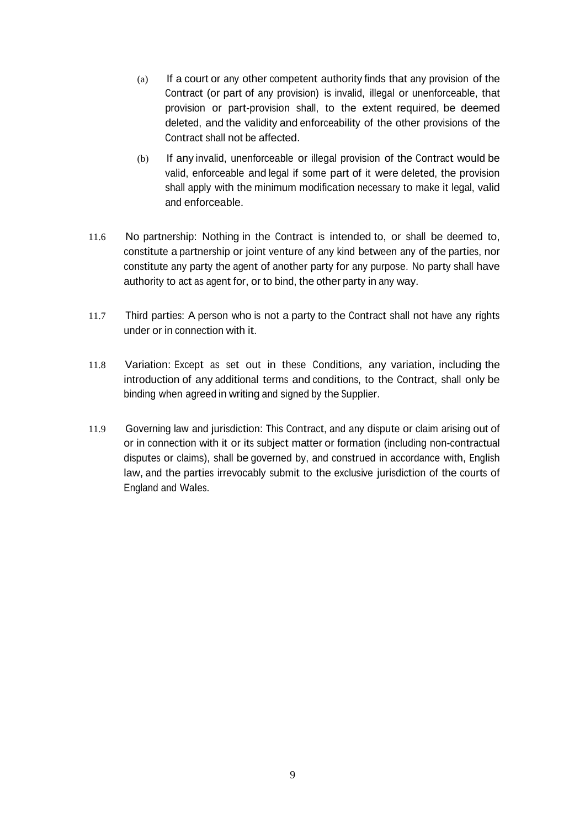- (a) If a court or any other competent authority finds that any provision of the Contract (or part of any provision) is invalid, illegal or unenforceable, that provision or part-provision shall, to the extent required, be deemed deleted, and the validity and enforceability of the other provisions of the Contract shall not be affected.
- (b) If any invalid, unenforceable or illegal provision of the Contract would be valid, enforceable and legal if some part of it were deleted, the provision shall apply with the minimum modification necessary to make it legal, valid and enforceable.
- 11.6 No partnership: Nothing in the Contract is intended to, or shall be deemed to, constitute a partnership or joint venture of any kind between any of the parties, nor constitute any party the agent of another party for any purpose. No party shall have authority to act as agent for, or to bind, the other party in any way.
- 11.7 Third parties: A person who is not a party to the Contract shall not have any rights under or in connection with it.
- 11.8 Variation: Except as set out in these Conditions, any variation, including the introduction of any additional terms and conditions, to the Contract, shall only be binding when agreed in writing and signed by the Supplier.
- 11.9 Governing law and jurisdiction: This Contract, and any dispute or claim arising out of or in connection with it or its subject matter or formation (including non-contractual disputes or claims), shall be governed by, and construed in accordance with, English law, and the parties irrevocably submit to the exclusive jurisdiction of the courts of England and Wales.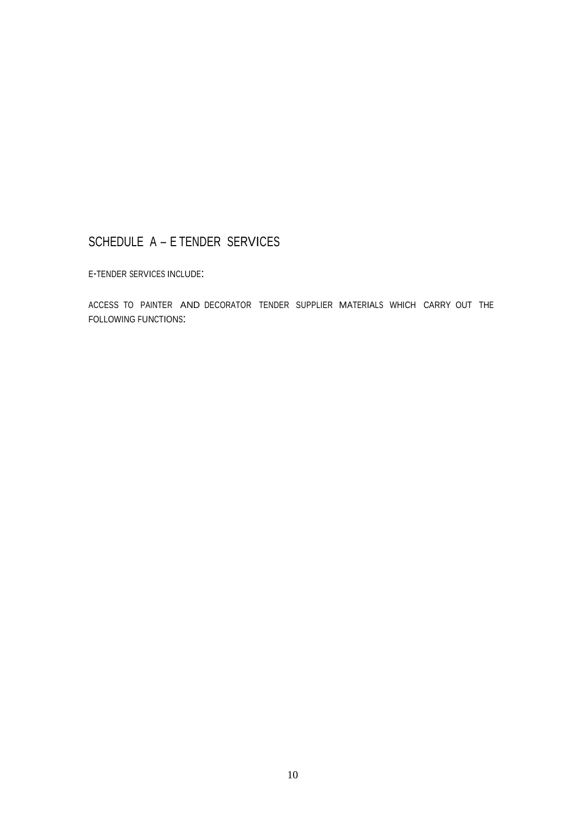# SCHEDULE A – E TENDER SERVICES

<sup>E</sup>-TENDER SERVICES INCLUDE:

ACCESS TO PAINTER AND DECORATOR TENDER SUPPLIER MATERIALS WHICH CARRY OUT THE FOLLOWING FUNCTIONS: